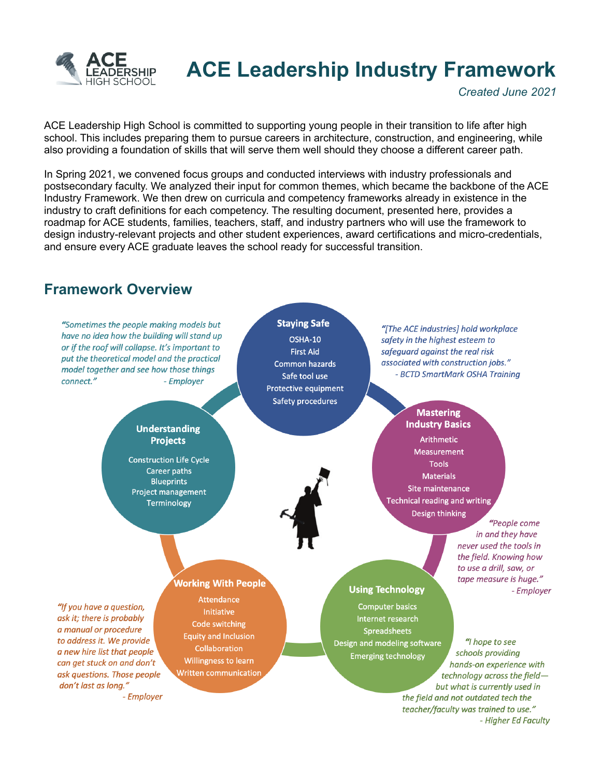

## ACE Leadership Industry Framework

Created June 2021

ACE Leadership High School is committed to supporting young people in their transition to life after high school. This includes preparing them to pursue careers in architecture, construction, and engineering, while also providing a foundation of skills that will serve them well should they choose a different career path.

In Spring 2021, we convened focus groups and conducted interviews with industry professionals and postsecondary faculty. We analyzed their input for common themes, which became the backbone of the ACE Industry Framework. We then drew on curricula and competency frameworks already in existence in the industry to craft definitions for each competency. The resulting document, presented here, provides a roadmap for ACE students, families, teachers, staff, and industry partners who will use the framework to design industry-relevant projects and other student experiences, award certifications and micro-credentials, and ensure every ACE graduate leaves the school ready for successful transition.

## Framework Overview



- Higher Ed Faculty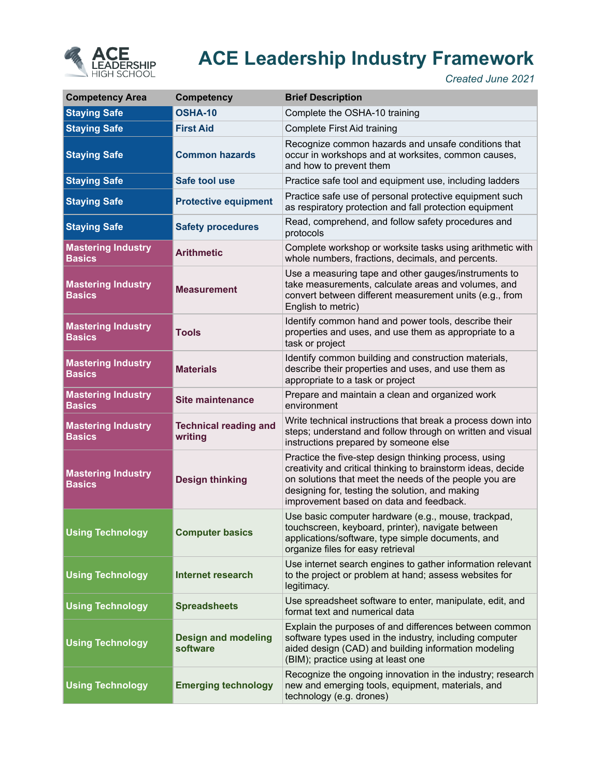

## ACE Leadership Industry Framework

Created June 2021

| <b>Competency Area</b>                     | <b>Competency</b>                       | <b>Brief Description</b>                                                                                                                                                                                                                                                      |
|--------------------------------------------|-----------------------------------------|-------------------------------------------------------------------------------------------------------------------------------------------------------------------------------------------------------------------------------------------------------------------------------|
| <b>Staying Safe</b>                        | <b>OSHA-10</b>                          | Complete the OSHA-10 training                                                                                                                                                                                                                                                 |
| <b>Staying Safe</b>                        | <b>First Aid</b>                        | Complete First Aid training                                                                                                                                                                                                                                                   |
| <b>Staying Safe</b>                        | <b>Common hazards</b>                   | Recognize common hazards and unsafe conditions that<br>occur in workshops and at worksites, common causes,<br>and how to prevent them                                                                                                                                         |
| <b>Staying Safe</b>                        | Safe tool use                           | Practice safe tool and equipment use, including ladders                                                                                                                                                                                                                       |
| <b>Staying Safe</b>                        | <b>Protective equipment</b>             | Practice safe use of personal protective equipment such<br>as respiratory protection and fall protection equipment                                                                                                                                                            |
| <b>Staying Safe</b>                        | <b>Safety procedures</b>                | Read, comprehend, and follow safety procedures and<br>protocols                                                                                                                                                                                                               |
| <b>Mastering Industry</b><br><b>Basics</b> | <b>Arithmetic</b>                       | Complete workshop or worksite tasks using arithmetic with<br>whole numbers, fractions, decimals, and percents.                                                                                                                                                                |
| <b>Mastering Industry</b><br><b>Basics</b> | <b>Measurement</b>                      | Use a measuring tape and other gauges/instruments to<br>take measurements, calculate areas and volumes, and<br>convert between different measurement units (e.g., from<br>English to metric)                                                                                  |
| <b>Mastering Industry</b><br><b>Basics</b> | <b>Tools</b>                            | Identify common hand and power tools, describe their<br>properties and uses, and use them as appropriate to a<br>task or project                                                                                                                                              |
| <b>Mastering Industry</b><br><b>Basics</b> | <b>Materials</b>                        | Identify common building and construction materials,<br>describe their properties and uses, and use them as<br>appropriate to a task or project                                                                                                                               |
| <b>Mastering Industry</b><br><b>Basics</b> | <b>Site maintenance</b>                 | Prepare and maintain a clean and organized work<br>environment                                                                                                                                                                                                                |
| <b>Mastering Industry</b><br><b>Basics</b> | <b>Technical reading and</b><br>writing | Write technical instructions that break a process down into<br>steps; understand and follow through on written and visual<br>instructions prepared by someone else                                                                                                            |
| <b>Mastering Industry</b><br><b>Basics</b> | <b>Design thinking</b>                  | Practice the five-step design thinking process, using<br>creativity and critical thinking to brainstorm ideas, decide<br>on solutions that meet the needs of the people you are<br>designing for, testing the solution, and making<br>improvement based on data and feedback. |
| <b>Using Technology</b>                    | <b>Computer basics</b>                  | Use basic computer hardware (e.g., mouse, trackpad,<br>touchscreen, keyboard, printer), navigate between<br>applications/software, type simple documents, and<br>organize files for easy retrieval                                                                            |
| <b>Using Technology</b>                    | <b>Internet research</b>                | Use internet search engines to gather information relevant<br>to the project or problem at hand; assess websites for<br>legitimacy.                                                                                                                                           |
| <b>Using Technology</b>                    | <b>Spreadsheets</b>                     | Use spreadsheet software to enter, manipulate, edit, and<br>format text and numerical data                                                                                                                                                                                    |
| <b>Using Technology</b>                    | <b>Design and modeling</b><br>software  | Explain the purposes of and differences between common<br>software types used in the industry, including computer<br>aided design (CAD) and building information modeling<br>(BIM); practice using at least one                                                               |
| <b>Using Technology</b>                    | <b>Emerging technology</b>              | Recognize the ongoing innovation in the industry; research<br>new and emerging tools, equipment, materials, and<br>technology (e.g. drones)                                                                                                                                   |